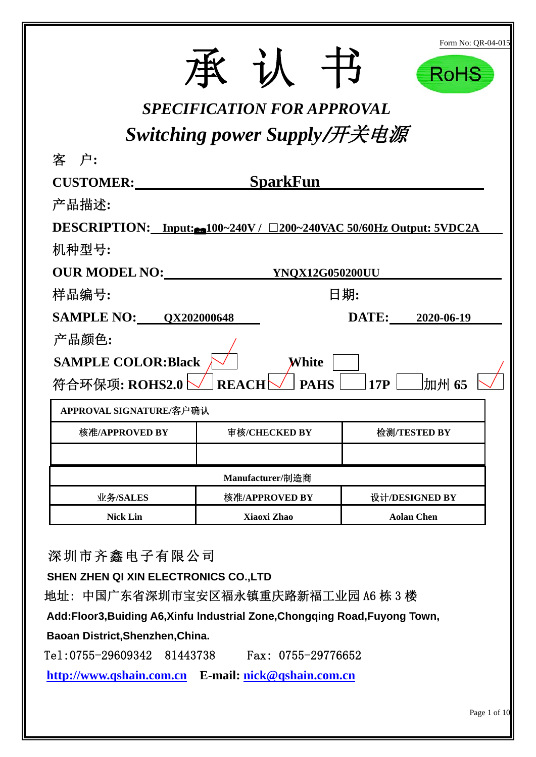|                                                                   |                                   |                        | Form No: QR-04-015<br>RoHS |  |  |  |  |  |
|-------------------------------------------------------------------|-----------------------------------|------------------------|----------------------------|--|--|--|--|--|
|                                                                   | <b>SPECIFICATION FOR APPROVAL</b> |                        |                            |  |  |  |  |  |
| Switching power Supply/开关电源                                       |                                   |                        |                            |  |  |  |  |  |
| 客 户:                                                              |                                   |                        |                            |  |  |  |  |  |
| <b>CUSTOMER:</b>                                                  | <b>SparkFun</b>                   |                        |                            |  |  |  |  |  |
| 产品描述:                                                             |                                   |                        |                            |  |  |  |  |  |
| DESCRIPTION: Input: 100~240V / □200~240VAC 50/60Hz Output: 5VDC2A |                                   |                        |                            |  |  |  |  |  |
| 机种型号:                                                             |                                   |                        |                            |  |  |  |  |  |
| <b>OUR MODEL NO:</b>                                              |                                   | <b>YNQX12G050200UU</b> |                            |  |  |  |  |  |
| 样品编号:                                                             |                                   | 日期:                    |                            |  |  |  |  |  |
| <b>SAMPLE NO: 0X202000648</b><br>DATE: 2020-06-19                 |                                   |                        |                            |  |  |  |  |  |
| 产品颜色:                                                             |                                   |                        |                            |  |  |  |  |  |
| <b>SAMPLE COLOR:Black</b>                                         | White                             |                        |                            |  |  |  |  |  |
| 符合环保项: ROHS2.0                                                    | <b>REACI</b>                      | <b>PAHS</b><br>17P     | 加州 65                      |  |  |  |  |  |
| APPROVAL SIGNATURE/客户确认                                           |                                   |                        |                            |  |  |  |  |  |
| 核准/APPROVED BY                                                    | 审核/CHECKED BY                     | 检测/TESTED BY           |                            |  |  |  |  |  |
|                                                                   |                                   |                        |                            |  |  |  |  |  |
| Manufacturer/制造商                                                  |                                   |                        |                            |  |  |  |  |  |
| 业务/SALES                                                          | 核准/APPROVED BY                    | 设计/DESIGNED BY         |                            |  |  |  |  |  |
| <b>Nick Lin</b>                                                   | Xiaoxi Zhao                       | <b>Aolan Chen</b>      |                            |  |  |  |  |  |

深圳市齐鑫电子有限公司

**SHEN ZHEN QI XIN ELECTRONICS CO.,LTD** 

地址: 中国广东省深圳市宝安区福永镇重庆路新福工业园 A6 栋 3 楼

**Add:Floor3,Buiding A6,Xinfu lndustrial Zone,Chongqing Road,Fuyong Town,** 

**Baoan District,Shenzhen,China.** 

Tel:0755-29609342 81443738 Fax: 0755-29776652

**http://www.qshain.com.cn E-mail: nick@qshain.com.cn**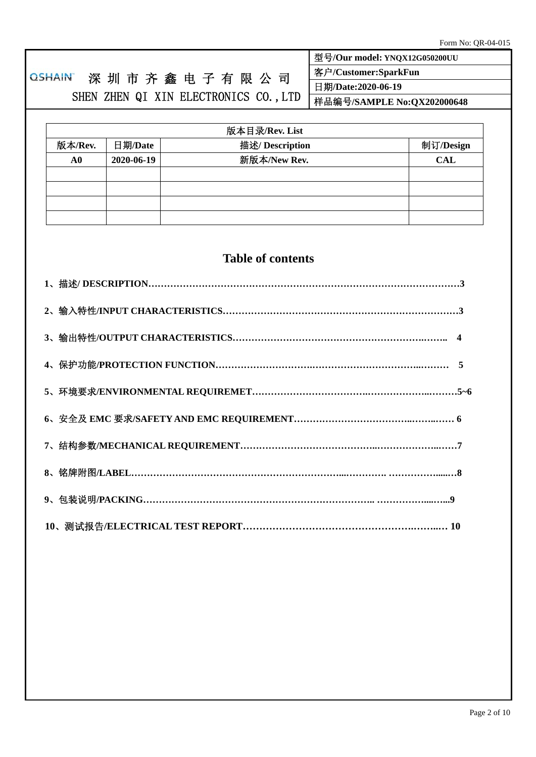## OSHAIN 深 圳 市 齐 鑫 电 子 有 限 公 司 SHEN ZHEN QI XIN ELECTRONICS CO., LTD 型号**/Our model: YNQX12G050200UU**  客户**/Customer:SparkFun**  日期**/Date:2020-06-19**  样品编号**/SAMPLE No:QX202000648**  版本目录**/Rev. List**  版本**/Rev.** 日期**/Date** 描述**/ Description** 制订**/Design**

| A0 | 2020-06-19 | 新版本/New Rev. | <b>CAL</b> |
|----|------------|--------------|------------|
|    |            |              |            |
|    |            |              |            |
|    |            |              |            |
|    |            |              |            |

# **Table of contents**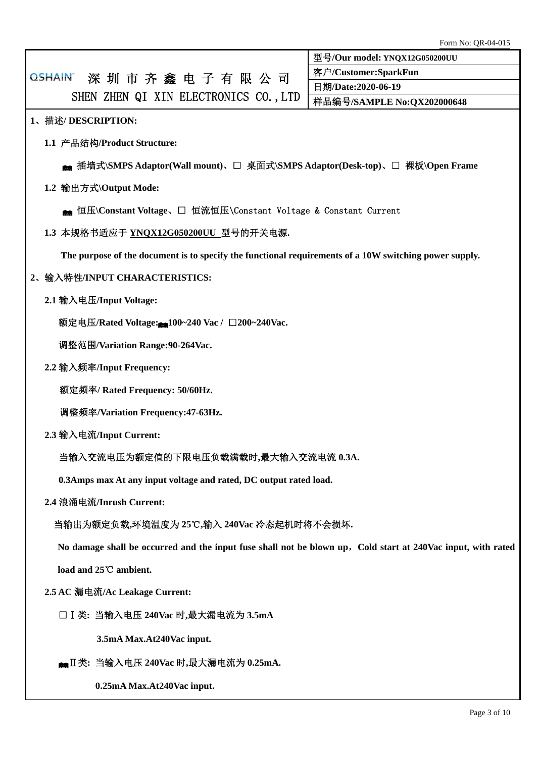|                                                                                                              | Form No: QR-04-015            |  |  |  |  |  |  |  |
|--------------------------------------------------------------------------------------------------------------|-------------------------------|--|--|--|--|--|--|--|
|                                                                                                              | 型号/Our model: YNQX12G050200UU |  |  |  |  |  |  |  |
| 深圳市齐鑫电子有限公司<br><b>QSHAIN</b>                                                                                 | 客户/Customer:SparkFun          |  |  |  |  |  |  |  |
| SHEN ZHEN QI XIN ELECTRONICS CO., LTD                                                                        | 日期/Date:2020-06-19            |  |  |  |  |  |  |  |
|                                                                                                              | 样品编号/SAMPLE No:QX202000648    |  |  |  |  |  |  |  |
| 1、描述/DESCRIPTION:                                                                                            |                               |  |  |  |  |  |  |  |
| 1.1 产品结构/Product Structure:                                                                                  |                               |  |  |  |  |  |  |  |
| ▲ 插墙式\SMPS Adaptor(Wall mount)、□ 桌面式\SMPS Adaptor(Desk-top)、□ 裸板\Open Frame                                  |                               |  |  |  |  |  |  |  |
| 1.2 输出方式\Output Mode:                                                                                        |                               |  |  |  |  |  |  |  |
| <sub>● 恒压</sub> \Constant Voltage、□ 恒流恒压\Constant Voltage & Constant Current                                 |                               |  |  |  |  |  |  |  |
| 1.3 本规格书适应于 YNQX12G050200UU 型号的开关电源.                                                                         |                               |  |  |  |  |  |  |  |
| The purpose of the document is to specify the functional requirements of a 10W switching power supply.       |                               |  |  |  |  |  |  |  |
| 2、输入特性/INPUT CHARACTERISTICS:                                                                                |                               |  |  |  |  |  |  |  |
| 2.1 输入电压/Input Voltage:                                                                                      |                               |  |  |  |  |  |  |  |
| 额定电压/Rated Voltage: <sub>■100~240</sub> Vac / □200~240Vac.                                                   |                               |  |  |  |  |  |  |  |
| 调整范围/Variation Range:90-264Vac.                                                                              |                               |  |  |  |  |  |  |  |
| 2.2 输入频率/Input Frequency:                                                                                    |                               |  |  |  |  |  |  |  |
| 额定频率/ Rated Frequency: 50/60Hz.                                                                              |                               |  |  |  |  |  |  |  |
| 调整频率/Variation Frequency:47-63Hz.                                                                            |                               |  |  |  |  |  |  |  |
| 2.3 输入电流/Input Current:                                                                                      |                               |  |  |  |  |  |  |  |
| 当输入交流电压为额定值的下限电压负载满载时,最大输入交流电流 0.3A.                                                                         |                               |  |  |  |  |  |  |  |
| 0.3Amps max At any input voltage and rated, DC output rated load.                                            |                               |  |  |  |  |  |  |  |
| 2.4 浪涌电流/Inrush Current:                                                                                     |                               |  |  |  |  |  |  |  |
| 当输出为额定负载,环境温度为 25℃,输入 240Vac 冷态起机时将不会损坏.                                                                     |                               |  |  |  |  |  |  |  |
| No damage shall be occurred and the input fuse shall not be blown up, Cold start at 240Vac input, with rated |                               |  |  |  |  |  |  |  |
| load and 25°C ambient.                                                                                       |                               |  |  |  |  |  |  |  |
| 2.5 AC 漏电流/Ac Leakage Current:                                                                               |                               |  |  |  |  |  |  |  |
| □ I 类: 当输入电压 240Vac 时,最大漏电流为 3.5mA                                                                           |                               |  |  |  |  |  |  |  |
| 3.5mA Max.At240Vac input.                                                                                    |                               |  |  |  |  |  |  |  |

### Ⅱ类**:** 当输入电压 **240Vac** 时**,**最大漏电流为 **0.25mA.**

**0.25mA Max.At240Vac input.**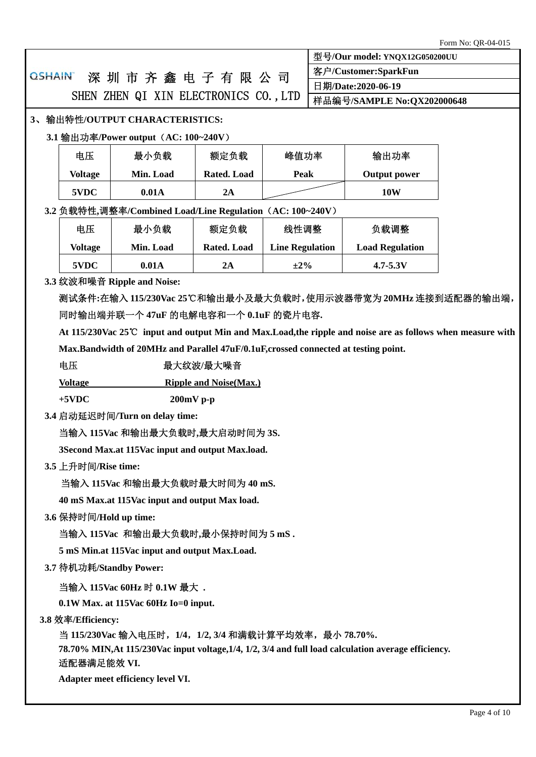| 型号/Our model: YNQX12G050200UU                                                                                       |                                                           |                                                                                     |                    |                        |  |                                                                                                            |  |  |  |  |
|---------------------------------------------------------------------------------------------------------------------|-----------------------------------------------------------|-------------------------------------------------------------------------------------|--------------------|------------------------|--|------------------------------------------------------------------------------------------------------------|--|--|--|--|
|                                                                                                                     |                                                           |                                                                                     |                    | 客户/Customer:SparkFun   |  |                                                                                                            |  |  |  |  |
| <b>QSHAIN</b><br>深圳市齐鑫电子有限公司                                                                                        |                                                           |                                                                                     | 日期/Date:2020-06-19 |                        |  |                                                                                                            |  |  |  |  |
|                                                                                                                     | SHEN ZHEN QI XIN ELECTRONICS CO., LTD                     |                                                                                     |                    |                        |  | 样品编号/SAMPLE No:QX202000648                                                                                 |  |  |  |  |
|                                                                                                                     | 3、输出特性/OUTPUT CHARACTERISTICS:                            |                                                                                     |                    |                        |  |                                                                                                            |  |  |  |  |
|                                                                                                                     | 3.1 输出功率/Power output (AC: 100~240V)                      |                                                                                     |                    |                        |  |                                                                                                            |  |  |  |  |
|                                                                                                                     | 电压<br>最小负载<br>额定负载<br>输出功率<br>峰值功率                        |                                                                                     |                    |                        |  |                                                                                                            |  |  |  |  |
|                                                                                                                     | <b>Voltage</b>                                            | Min. Load                                                                           | Rated. Load        | <b>Peak</b>            |  | <b>Output power</b>                                                                                        |  |  |  |  |
|                                                                                                                     | 5VDC                                                      | 0.01A                                                                               | 2A                 |                        |  | <b>10W</b>                                                                                                 |  |  |  |  |
|                                                                                                                     | 3.2 负载特性,调整率/Combined Load/Line Regulation (AC: 100~240V) |                                                                                     |                    |                        |  |                                                                                                            |  |  |  |  |
|                                                                                                                     | 电压                                                        | 最小负载                                                                                | 额定负载               | 线性调整                   |  | 负载调整                                                                                                       |  |  |  |  |
|                                                                                                                     | <b>Voltage</b>                                            | Min. Load                                                                           | Rated. Load        | <b>Line Regulation</b> |  | <b>Load Regulation</b>                                                                                     |  |  |  |  |
|                                                                                                                     | 5VDC                                                      | 0.01A                                                                               | 2A                 | $\pm 2\%$              |  | $4.7 - 5.3V$                                                                                               |  |  |  |  |
|                                                                                                                     |                                                           | 3.3 纹波和噪音 Ripple and Noise:                                                         |                    |                        |  |                                                                                                            |  |  |  |  |
|                                                                                                                     |                                                           |                                                                                     |                    |                        |  | 测试条件:在输入 115/230Vac 25℃和输出最小及最大负载时,使用示波器带宽为 20MHz 连接到适配器的输出端,                                              |  |  |  |  |
|                                                                                                                     |                                                           | 同时输出端并联一个 47uF 的电解电容和一个 0.1uF 的瓷片电容.                                                |                    |                        |  |                                                                                                            |  |  |  |  |
|                                                                                                                     |                                                           |                                                                                     |                    |                        |  | At 115/230Vac 25℃ input and output Min and Max.Load, the ripple and noise are as follows when measure with |  |  |  |  |
|                                                                                                                     |                                                           | Max.Bandwidth of 20MHz and Parallel 47uF/0.1uF, crossed connected at testing point. |                    |                        |  |                                                                                                            |  |  |  |  |
|                                                                                                                     | 电压<br>最大纹波/最大噪音                                           |                                                                                     |                    |                        |  |                                                                                                            |  |  |  |  |
|                                                                                                                     | <b>Ripple and Noise(Max.)</b><br><b>Voltage</b>           |                                                                                     |                    |                        |  |                                                                                                            |  |  |  |  |
|                                                                                                                     | $+5$ VDC                                                  | $200mV$ p-p                                                                         |                    |                        |  |                                                                                                            |  |  |  |  |
|                                                                                                                     |                                                           | 3.4 启动延迟时间/Turn on delay time:                                                      |                    |                        |  |                                                                                                            |  |  |  |  |
|                                                                                                                     |                                                           | 当输入 115Vac 和输出最大负载时,最大启动时间为 3S.                                                     |                    |                        |  |                                                                                                            |  |  |  |  |
|                                                                                                                     |                                                           | 3Second Max.at 115Vac input and output Max.load.                                    |                    |                        |  |                                                                                                            |  |  |  |  |
|                                                                                                                     | 3.5 上升时间/Rise time:                                       |                                                                                     |                    |                        |  |                                                                                                            |  |  |  |  |
|                                                                                                                     |                                                           | 当输入 115Vac 和输出最大负载时最大时间为 40 mS.                                                     |                    |                        |  |                                                                                                            |  |  |  |  |
|                                                                                                                     |                                                           | 40 mS Max.at 115Vac input and output Max load.                                      |                    |                        |  |                                                                                                            |  |  |  |  |
|                                                                                                                     | 3.6 保持时间/Hold up time:                                    |                                                                                     |                    |                        |  |                                                                                                            |  |  |  |  |
|                                                                                                                     |                                                           | 当输入 115Vac 和输出最大负载时,最小保持时间为 5 mS.                                                   |                    |                        |  |                                                                                                            |  |  |  |  |
|                                                                                                                     | 5 mS Min.at 115Vac input and output Max.Load.             |                                                                                     |                    |                        |  |                                                                                                            |  |  |  |  |
|                                                                                                                     | 3.7 待机功耗/Standby Power:                                   |                                                                                     |                    |                        |  |                                                                                                            |  |  |  |  |
|                                                                                                                     | 当输入 115Vac 60Hz 时 0.1W 最大.                                |                                                                                     |                    |                        |  |                                                                                                            |  |  |  |  |
|                                                                                                                     |                                                           | $0.1W$ Max. at 115Vac 60Hz Io=0 input.                                              |                    |                        |  |                                                                                                            |  |  |  |  |
|                                                                                                                     | 3.8 效率/Efficiency:                                        |                                                                                     |                    |                        |  |                                                                                                            |  |  |  |  |
|                                                                                                                     | 当 115/230Vac 输入电压时, 1/4, 1/2, 3/4 和满载计算平均效率, 最小 78.70%.   |                                                                                     |                    |                        |  |                                                                                                            |  |  |  |  |
| 78.70% MIN, At 115/230Vac input voltage, 1/4, 1/2, 3/4 and full load calculation average efficiency.<br>适配器满足能效 VI. |                                                           |                                                                                     |                    |                        |  |                                                                                                            |  |  |  |  |
|                                                                                                                     | Adapter meet efficiency level VI.                         |                                                                                     |                    |                        |  |                                                                                                            |  |  |  |  |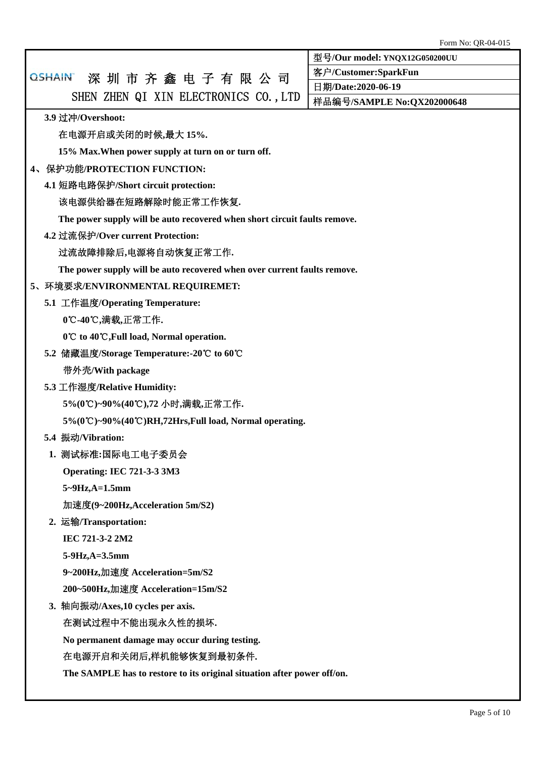|                                                                           | <b>FULLE INO. QR-04-015</b>          |  |  |  |  |  |  |  |
|---------------------------------------------------------------------------|--------------------------------------|--|--|--|--|--|--|--|
|                                                                           | 型号/Our model: YNQX12G050200UU        |  |  |  |  |  |  |  |
| 深圳市齐鑫电子有限公司<br><b>QSHAIN</b>                                              | 客户/Customer:SparkFun                 |  |  |  |  |  |  |  |
| SHEN ZHEN QI XIN ELECTRONICS CO., LTD                                     | 日期/Date:2020-06-19                   |  |  |  |  |  |  |  |
|                                                                           | 样品编号/SAMPLE No:QX202000648           |  |  |  |  |  |  |  |
| 3.9 过冲/Overshoot:                                                         |                                      |  |  |  |  |  |  |  |
| 在电源开启或关闭的时候,最大 15%.                                                       |                                      |  |  |  |  |  |  |  |
| 15% Max. When power supply at turn on or turn off.                        |                                      |  |  |  |  |  |  |  |
| 4、保护功能/PROTECTION FUNCTION:                                               |                                      |  |  |  |  |  |  |  |
|                                                                           | 4.1 短路电路保护/Short circuit protection: |  |  |  |  |  |  |  |
| 该电源供给器在短路解除时能正常工作恢复.                                                      |                                      |  |  |  |  |  |  |  |
| The power supply will be auto recovered when short circuit faults remove. |                                      |  |  |  |  |  |  |  |
| 4.2 过流保护/Over current Protection:                                         |                                      |  |  |  |  |  |  |  |
| 过流故障排除后,电源将自动恢复正常工作.                                                      |                                      |  |  |  |  |  |  |  |
| The power supply will be auto recovered when over current faults remove.  |                                      |  |  |  |  |  |  |  |
| 5、环境要求/ENVIRONMENTAL REQUIREMET:                                          |                                      |  |  |  |  |  |  |  |
| 5.1 工作温度/Operating Temperature:                                           |                                      |  |  |  |  |  |  |  |
| 0℃-40℃,满载,正常工作.                                                           |                                      |  |  |  |  |  |  |  |
| 0℃ to 40℃, Full load, Normal operation.                                   |                                      |  |  |  |  |  |  |  |
| 5.2 储藏温度/Storage Temperature:-20℃ to 60℃                                  |                                      |  |  |  |  |  |  |  |
| 带外壳/With package                                                          |                                      |  |  |  |  |  |  |  |
| 5.3 工作湿度/Relative Humidity:                                               |                                      |  |  |  |  |  |  |  |
| 5%(0℃)~90%(40℃),72 小时,满载,正常工作.                                            |                                      |  |  |  |  |  |  |  |
| 5%(0℃)~90%(40℃)RH,72Hrs,Full load, Normal operating.                      |                                      |  |  |  |  |  |  |  |
| 5.4 振动/Vibration:                                                         |                                      |  |  |  |  |  |  |  |
| 1. 测试标准:国际电工电子委员会                                                         |                                      |  |  |  |  |  |  |  |
| <b>Operating: IEC 721-3-3 3M3</b>                                         |                                      |  |  |  |  |  |  |  |
| $5 - 9$ Hz, $A = 1.5$ mm                                                  |                                      |  |  |  |  |  |  |  |
| 加速度(9~200Hz, Acceleration 5m/S2)                                          |                                      |  |  |  |  |  |  |  |
| 2. 运输/Transportation:                                                     |                                      |  |  |  |  |  |  |  |
| IEC 721-3-2 2M2                                                           |                                      |  |  |  |  |  |  |  |
| 5-9Hz, A=3.5mm                                                            |                                      |  |  |  |  |  |  |  |
| 9~200Hz,加速度 Acceleration=5m/S2                                            |                                      |  |  |  |  |  |  |  |
| 200~500Hz,加速度 Acceleration=15m/S2                                         |                                      |  |  |  |  |  |  |  |
| 3. 轴向振动/Axes,10 cycles per axis.                                          |                                      |  |  |  |  |  |  |  |
| 在测试过程中不能出现永久性的损坏.                                                         |                                      |  |  |  |  |  |  |  |
| No permanent damage may occur during testing.                             |                                      |  |  |  |  |  |  |  |
| 在电源开启和关闭后,样机能够恢复到最初条件.                                                    |                                      |  |  |  |  |  |  |  |
| The SAMPLE has to restore to its original situation after power off/on.   |                                      |  |  |  |  |  |  |  |
|                                                                           |                                      |  |  |  |  |  |  |  |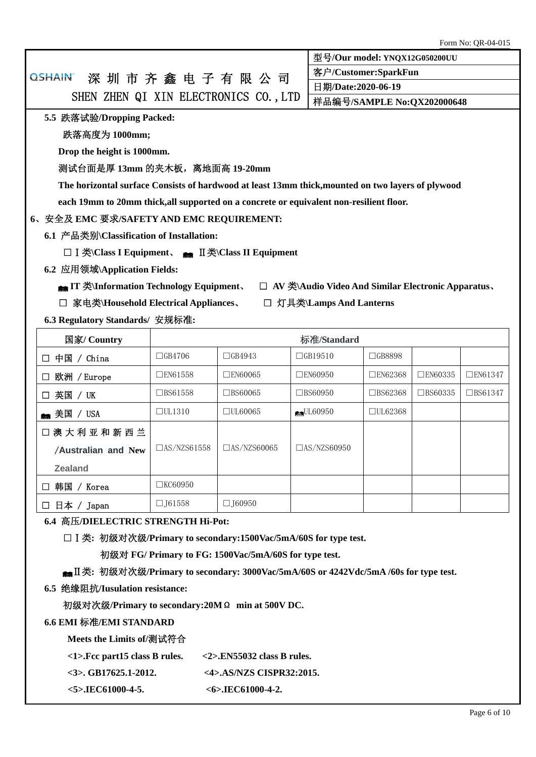Page 6 of 10

# OSHAIN 深 圳 市 齐 鑫 电 子 有 限 公 司 SHEN ZHEN QI XIN ELECTRONICS CO., LTD 客户**/Customer:SparkFun**  日期**/Date:2020-06-19**  样品编号**/SAMPLE No:QX202000648 5.5** 跌落试验**/Dropping Packed:**  跌落高度为 **1000mm; Drop the height is 1000mm.**  测试台面是厚 **13mm** 的夹木板,离地面高 **19-20mm The horizontal surface Consists of hardwood at least 13mm thick,mounted on two layers of plywood each 19mm to 20mm thick,all supported on a concrete or equivalent non-resilient floor. 6**、安全及 **EMC** 要求**/SAFETY AND EMC REQUIREMENT: 6.1** 产品类别**\Classification of Installation:**  □ I 类**\Class I Equipment**、 ■ II类**\Class II Equipment 6.2** 应用领域**\Application Fields: and IT** 类\Information Technology Equipment、 □ AV 类\Audio Video And Similar Electronic Apparatus、 □ 家电类**\Household Electrical Appliances**、□ 灯具类**\Lamps And Lanterns 6.3 Regulatory Standards/** 安规标准**:**  图家/ Country イントリング インタート あたい あたい あたい あたい 标准/Standard □ 中国 / China | □GB4706 | □GB4943 | □GB19510 | □GB8898 □ 欧洲 / Europe □EN61558 □EN60065 □EN60950 □EN62368 □EN60335 □EN61347 □ 英国 / UK │ □BS61558 │ □BS60065 │ □BS60950 │ □BS62368 │ □BS60335 │ □BS61347 美国 / USA □UL1310 □UL60065 UL60950 □UL62368 □澳大利亚和新西兰 /**Australian and New Zealand**  $\Box$ AS/NZS61558  $\Box$ AS/NZS60065  $\Box$ AS/NZS60950 □ 韩国 / Korea | □KC60950 □ 日本 / Japan | □J61558 | □J60950 **6.4** 高压**/DIELECTRIC STRENGTH Hi-Pot:**  □Ⅰ类**:** 初级对次级**/Primary to secondary:1500Vac/5mA/60S for type test.**  初级对 **FG/ Primary to FG: 1500Vac/5mA/60S for type test.**  Ⅱ类**:** 初级对次级**/Primary to secondary: 3000Vac/5mA/60S or 4242Vdc/5mA /60s for type test. 6.5** 绝缘阻抗**/Iusulation resistance:**  初级对次级**/Primary to secondary:20M**Ω **min at 500V DC.**

## **6.6 EMI** 标准**/EMI STANDARD**

**Meets the Limits of/**测试符合

**<3>. GB17625.1-2012. <4>.AS/NZS CISPR32:2015.** 

**<5>.IEC61000-4-5. <6>.IEC61000-4-2.** 

型号**/Our model: YNQX12G050200UU**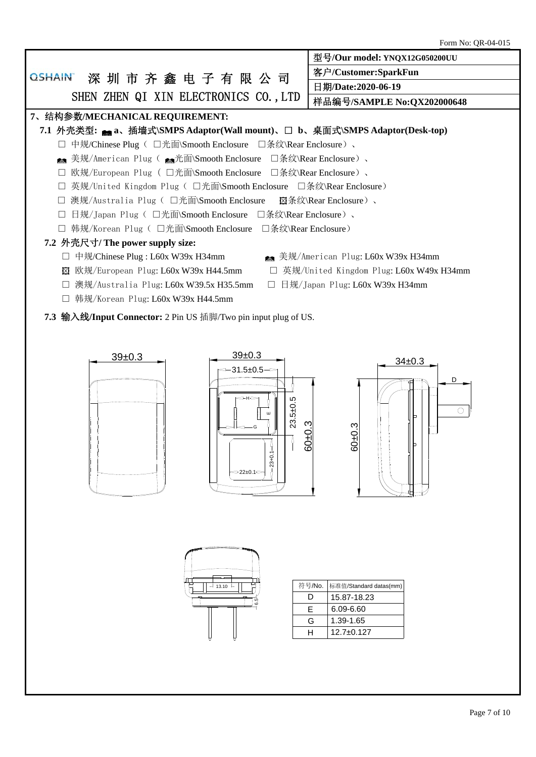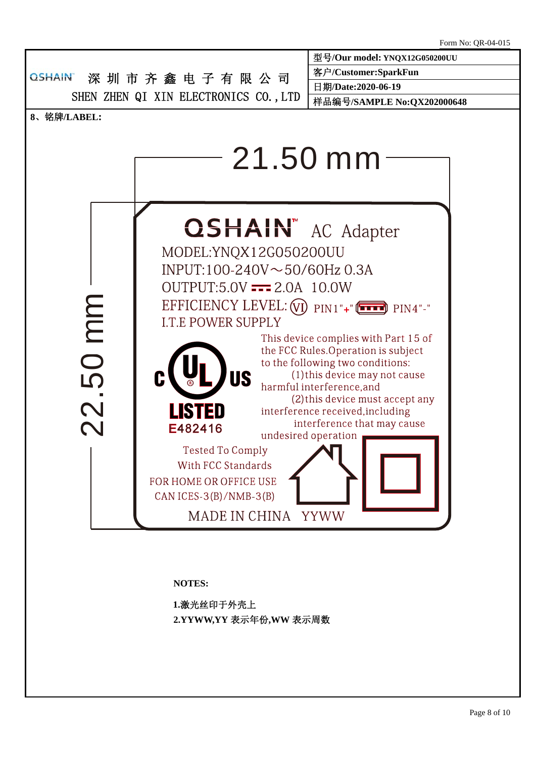

**NOTES:** 

**1.**激光丝印于外壳上 **2.YYWW,YY** 表示年份**,WW** 表示周数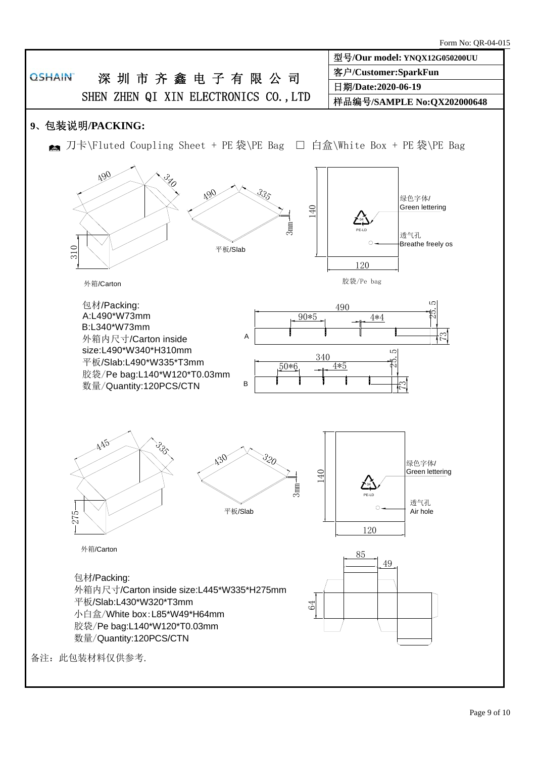